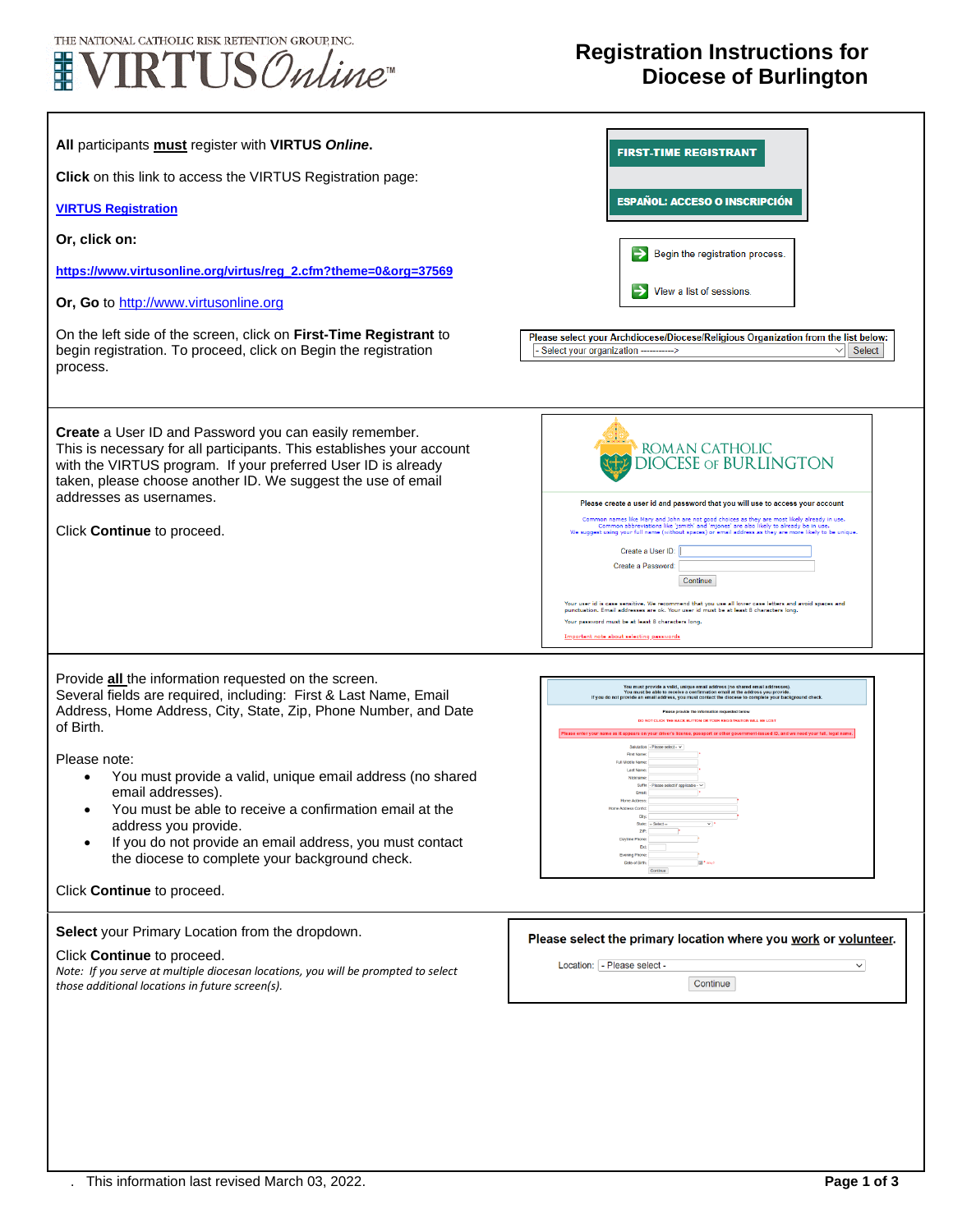

## **Registration Instructions for Diocese of Burlington**

| All participants must register with VIRTUS Online.<br>Click on this link to access the VIRTUS Registration page:<br><b>VIRTUS Registration</b><br>Or, click on:<br>https://www.virtusonline.org/virtus/reg_2.cfm?theme=0&org=37569<br>Or, Go to http://www.virtusonline.org<br>On the left side of the screen, click on First-Time Registrant to<br>begin registration. To proceed, click on Begin the registration<br>process.                                                                                                           | <b>FIRST-TIME REGISTRANT</b><br>ESPAÑOL: ACCESO O INSCRIPCIÓN<br>Begin the registration process.<br>View a list of sessions.<br>Please select your Archdiocese/Diocese/Religious Organization from the list below:<br>Select your organization -----------><br>Select                                                                                                                                                                                                                                                                                                                                                                                                                                                            |
|-------------------------------------------------------------------------------------------------------------------------------------------------------------------------------------------------------------------------------------------------------------------------------------------------------------------------------------------------------------------------------------------------------------------------------------------------------------------------------------------------------------------------------------------|----------------------------------------------------------------------------------------------------------------------------------------------------------------------------------------------------------------------------------------------------------------------------------------------------------------------------------------------------------------------------------------------------------------------------------------------------------------------------------------------------------------------------------------------------------------------------------------------------------------------------------------------------------------------------------------------------------------------------------|
| Create a User ID and Password you can easily remember.<br>This is necessary for all participants. This establishes your account<br>with the VIRTUS program. If your preferred User ID is already<br>taken, please choose another ID. We suggest the use of email<br>addresses as usernames.<br>Click Continue to proceed.                                                                                                                                                                                                                 | ROMAN CATHOLIC<br><b>DIOCESE OF BURLINGTON</b><br>Please create a user id and password that you will use to access your account<br>Common names like Mary and John are not good choices as they are most likely already in use.<br>Common abbreviations like "jsmith" and "njones" are also likely to already be in use.<br>We suggest using your full name (without sp<br>Create a User ID:<br>Create a Password:<br>Continue<br>Your user id is case sensitive. We recommend that you use all lower case letters and avoid spaces and<br>punctuation. Email addresses are ok. Your user id must be at least 8 characters long<br>Your password must be at least 8 characters long.<br>Important note about selecting passwords |
| Provide all the information requested on the screen.<br>Several fields are required, including: First & Last Name, Email<br>Address, Home Address, City, State, Zip, Phone Number, and Date<br>of Birth.<br>Please note:<br>You must provide a valid, unique email address (no shared<br>email addresses).<br>You must be able to receive a confirmation email at the<br>address you provide.<br>If you do not provide an email address, you must contact<br>the diocese to complete your background check.<br>Click Continue to proceed. | You must provide a valid, unique email address (no shared email addresses).<br>You must be able to receive a confirmation email at the address you provide.<br>If you do not provide an email address, you must contact the diocese<br>Please provide the information requested below<br>DO NOT CLICK THE BACK BUTTON OR YOUR REGISTRATION WILL BE LOST<br>ase enter your name as it appears on your driver's license, passport or other government-issued ID, and we need your full, legal nar<br>Salutation - Please select - v<br>First Name:<br>Full Middle Name<br>Last Name:<br>Nickname:<br>Suffix - Please select if applicable - v<br>Emat<br>Home Address<br>Continue                                                  |
| Select your Primary Location from the dropdown.<br>Click Continue to proceed.<br>Note: If you serve at multiple diocesan locations, you will be prompted to select<br>those additional locations in future screen(s).                                                                                                                                                                                                                                                                                                                     | Please select the primary location where you work or volunteer.<br>Location: - Please select -<br>$\checkmark$<br>Continue                                                                                                                                                                                                                                                                                                                                                                                                                                                                                                                                                                                                       |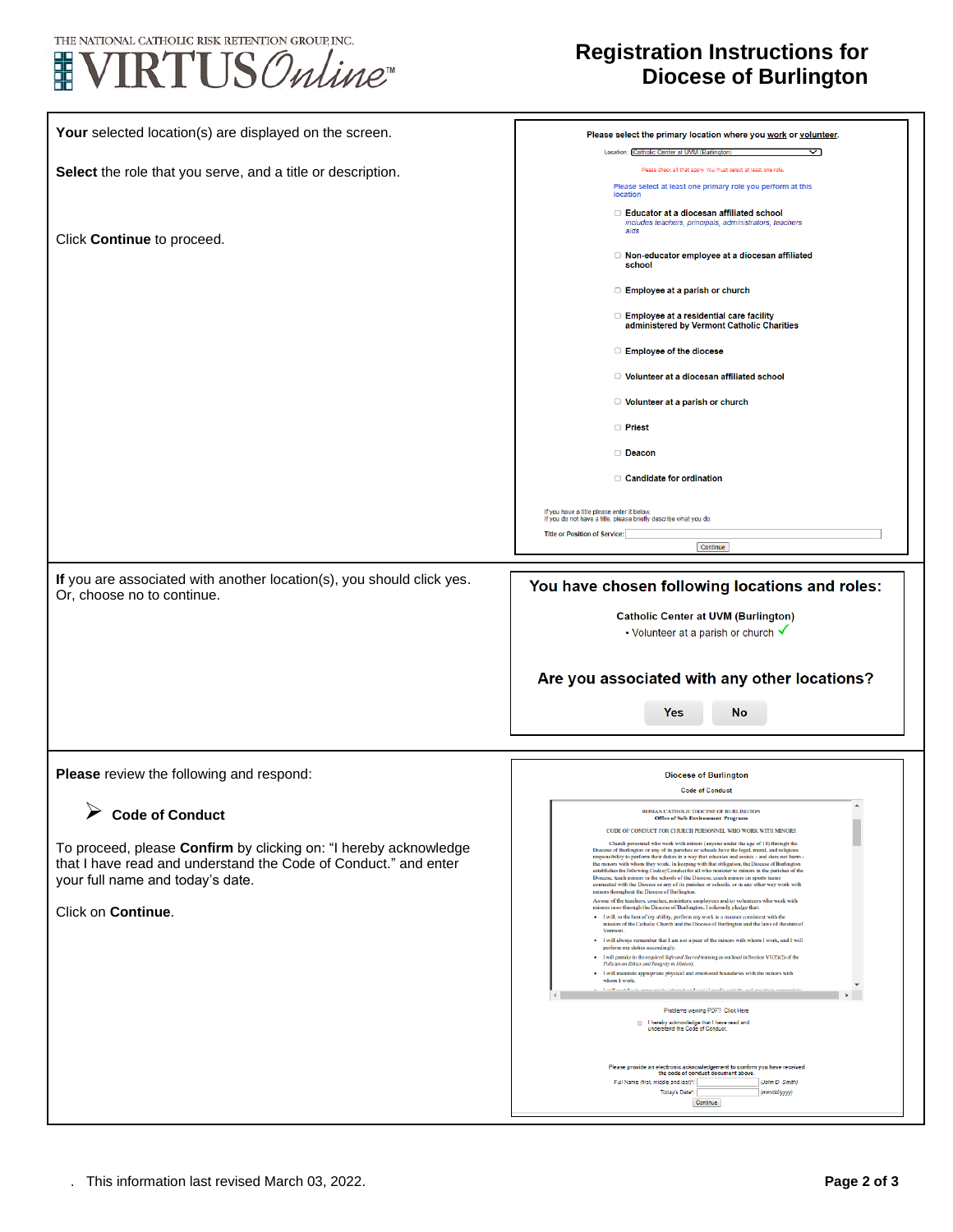



## **Registration Instructions for Diocese of Burlington**

| Your selected location(s) are displayed on the screen.                                                                              | Please select the primary location where you work or volunteer.                                                                                                                                                                                                                              |
|-------------------------------------------------------------------------------------------------------------------------------------|----------------------------------------------------------------------------------------------------------------------------------------------------------------------------------------------------------------------------------------------------------------------------------------------|
|                                                                                                                                     | Location: Catholic Center at UVM (Burlington)<br>◁                                                                                                                                                                                                                                           |
| Select the role that you serve, and a title or description.                                                                         | Please check all that apply. You must select at least one role                                                                                                                                                                                                                               |
|                                                                                                                                     | Please select at least one primary role you perform at this<br>location                                                                                                                                                                                                                      |
|                                                                                                                                     | □ Educator at a diocesan affiliated school<br>includes teachers, principals, administrators, teachers                                                                                                                                                                                        |
| Click Continue to proceed.                                                                                                          | aids                                                                                                                                                                                                                                                                                         |
|                                                                                                                                     | □ Non-educator employee at a diocesan affiliated<br>school                                                                                                                                                                                                                                   |
|                                                                                                                                     | □ Employee at a parish or church                                                                                                                                                                                                                                                             |
|                                                                                                                                     | □ Employee at a residential care facility<br>administered by Vermont Catholic Charities                                                                                                                                                                                                      |
|                                                                                                                                     | □ Employee of the diocese                                                                                                                                                                                                                                                                    |
|                                                                                                                                     | □ Volunteer at a diocesan affiliated school                                                                                                                                                                                                                                                  |
|                                                                                                                                     | □ Volunteer at a parish or church                                                                                                                                                                                                                                                            |
|                                                                                                                                     | □ Priest                                                                                                                                                                                                                                                                                     |
|                                                                                                                                     | Deacon                                                                                                                                                                                                                                                                                       |
|                                                                                                                                     | □ Candidate for ordination                                                                                                                                                                                                                                                                   |
|                                                                                                                                     | If you have a title please enter it below.<br>If you do not have a title, please briefly describe what you do.                                                                                                                                                                               |
|                                                                                                                                     | <b>Title or Position of Service:</b>                                                                                                                                                                                                                                                         |
|                                                                                                                                     | Continue                                                                                                                                                                                                                                                                                     |
| If you are associated with another location(s), you should click yes.<br>Or, choose no to continue.                                 | You have chosen following locations and roles:                                                                                                                                                                                                                                               |
|                                                                                                                                     | <b>Catholic Center at UVM (Burlington)</b>                                                                                                                                                                                                                                                   |
|                                                                                                                                     | • Volunteer at a parish or church $\checkmark$                                                                                                                                                                                                                                               |
|                                                                                                                                     |                                                                                                                                                                                                                                                                                              |
|                                                                                                                                     | Are you associated with any other locations?                                                                                                                                                                                                                                                 |
|                                                                                                                                     | <b>Yes</b><br><b>No</b>                                                                                                                                                                                                                                                                      |
|                                                                                                                                     |                                                                                                                                                                                                                                                                                              |
|                                                                                                                                     |                                                                                                                                                                                                                                                                                              |
| Please review the following and respond:                                                                                            | <b>Diocese of Burlington</b>                                                                                                                                                                                                                                                                 |
|                                                                                                                                     | <b>Code of Conduct</b>                                                                                                                                                                                                                                                                       |
| <b>Code of Conduct</b>                                                                                                              | <b>ROMAN CATHOLIC DIOCESE OF BURLINGTON</b>                                                                                                                                                                                                                                                  |
|                                                                                                                                     | CODE OF CONDUCT FOR CHURCH PERSONNEL WHO WORK WITH MINORS<br>Church personnel who work with minors (anyone under the age of 18) through the                                                                                                                                                  |
| To proceed, please Confirm by clicking on: "I hereby acknowledge<br>that I have read and understand the Code of Conduct." and enter | Diocese of Burlington or any of its parishes or schools have the legal, moral, and religious<br>responsibility to perform their duties in a way that educates and assists - and does not harm-<br>the minors with whom they work. In keeping with that obligation, the Diocese of Burlington |
| your full name and today's date.                                                                                                    | establishes the following <i>Code of Conduct</i> for all who minister to minors in the parishes of the<br>Diocese, teach minors in the schools of the Diocese, coach minors on sports teams<br>connected with the Diocese or any of its parishes or schools, or in any other way work with   |
|                                                                                                                                     | minors throughout the Diocese of Burlington.<br>As one of the teachers, coaches, ministers, employees and/or volunteers who work with<br>minors in or through the Diocese of Burlington, I solemnly pledge that:                                                                             |
| Click on Continue.                                                                                                                  | · I will, to the best of my ability, perform my work in a manner consistent with the<br>mission of the Catholic Church and the Diocese of Burlington and the laws of the state of                                                                                                            |
|                                                                                                                                     | Vermont<br>· I will always remember that I am not a peer of the minors with whom I work, and I will                                                                                                                                                                                          |
|                                                                                                                                     | perform my duties accordingly.<br>• I will partake in the required Safe and Sacred training as outlined in Section VI (E)(2) of the<br>Policies on Ethics and Integrity in Ministry.                                                                                                         |
|                                                                                                                                     | • I will maintain appropriate physical and emotional boundaries with the minors with<br>whom I work.                                                                                                                                                                                         |
|                                                                                                                                     | دة بالأساب                                                                                                                                                                                                                                                                                   |
|                                                                                                                                     | Problems viewing PDF? Click Here<br>I hereby acknowledge that I have read and                                                                                                                                                                                                                |
|                                                                                                                                     |                                                                                                                                                                                                                                                                                              |
|                                                                                                                                     | understand the Code of Conduct.                                                                                                                                                                                                                                                              |
|                                                                                                                                     | Please provide an electronic acknowledgement to confirm you have received                                                                                                                                                                                                                    |
|                                                                                                                                     | the code of conduct document above.<br>Full Name (first, middle and last)*:<br>(John D. Smith)<br>Today's Date*:<br>(mm/dd/yyyy)                                                                                                                                                             |